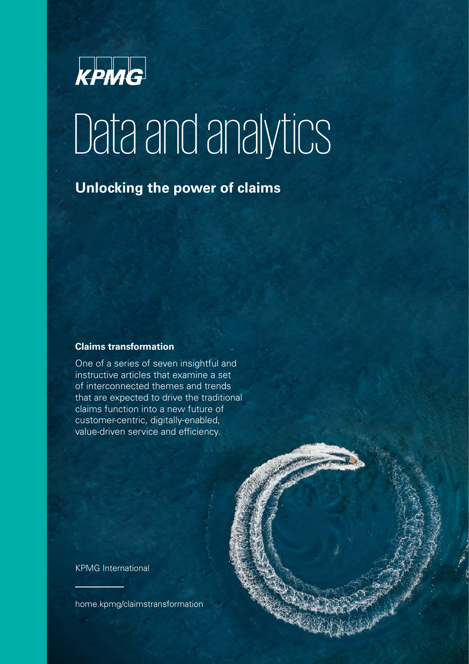

# Data and analytics

## **Unlocking the power of claims**

#### **Claims transformation**

One of a series of seven insightful and instructive articles that examine a set of interconnected themes and trends that are expected to drive the traditional claims function into a new future of customer-centric, digitally-enabled, value-driven service and efficiency.

KPMG International

[home.kpmg/claimstransformation](http://home.kpmg/claimstransformation)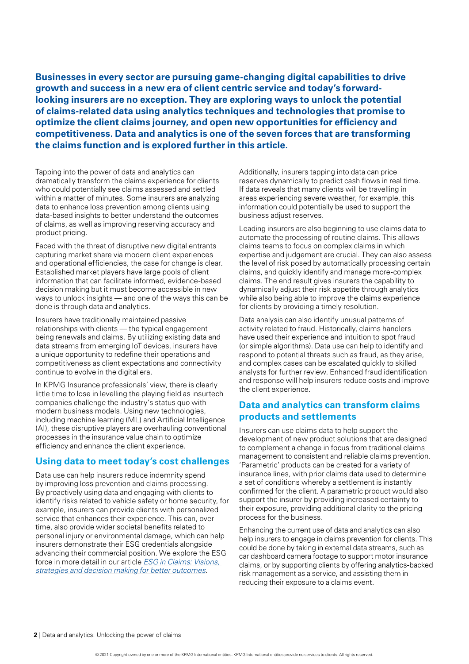**Businesses in every sector are pursuing game-changing digital capabilities to drive growth and success in a new era of client centric service and today's forwardlooking insurers are no exception. They are exploring ways to unlock the potential of claims-related data using analytics techniques and technologies that promise to optimize the client claims journey, and open new opportunities for efficiency and competitiveness. Data and analytics is one of the seven forces that are transforming the claims function and is explored further in this article.** 

Tapping into the power of data and analytics can dramatically transform the claims experience for clients who could potentially see claims assessed and settled within a matter of minutes. Some insurers are analyzing data to enhance loss prevention among clients using data-based insights to better understand the outcomes of claims, as well as improving reserving accuracy and product pricing.

Faced with the threat of disruptive new digital entrants capturing market share via modern client experiences and operational efficiencies, the case for change is clear. Established market players have large pools of client information that can facilitate informed, evidence-based decision making but it must become accessible in new ways to unlock insights — and one of the ways this can be done is through data and analytics.

Insurers have traditionally maintained passive relationships with clients — the typical engagement being renewals and claims. By utilizing existing data and data streams from emerging IoT devices, insurers have a unique opportunity to redefne their operations and competitiveness as client expectations and connectivity continue to evolve in the digital era.

In KPMG Insurance professionals' view, there is clearly little time to lose in levelling the playing field as insurtech companies challenge the industry's status quo with modern business models. Using new technologies, including machine learning (ML) and Artificial Intelligence (AI), these disruptive players are overhauling conventional processes in the insurance value chain to optimize efficiency and enhance the client experience.

#### **Using data to meet today's cost challenges**

Data use can help insurers reduce indemnity spend by improving loss prevention and claims processing. By proactively using data and engaging with clients to identify risks related to vehicle safety or home security, for example, insurers can provide clients with personalized service that enhances their experience. This can, over time, also provide wider societal benefits related to personal injury or environmental damage, which can help insurers demonstrate their ESG credentials alongside advancing their commercial position. We explore the ESG force in more detail in our article *[ESG in Claims: Visions,](https://home.kpmg/xx/en/home/insights/2021/08/esg-in-claims-vision-strategies-and-decision-making-for-better-outcomes.html)  [strategies and decision making for better outcomes](https://home.kpmg/xx/en/home/insights/2021/08/esg-in-claims-vision-strategies-and-decision-making-for-better-outcomes.html)*.

Additionally, insurers tapping into data can price reserves dynamically to predict cash flows in real time. If data reveals that many clients will be travelling in areas experiencing severe weather, for example, this information could potentially be used to support the business adjust reserves.

Leading insurers are also beginning to use claims data to automate the processing of routine claims. This allows claims teams to focus on complex claims in which expertise and judgement are crucial. They can also assess the level of risk posed by automatically processing certain claims, and quickly identify and manage more-complex claims. The end result gives insurers the capability to dynamically adjust their risk appetite through analytics while also being able to improve the claims experience for clients by providing a timely resolution.

Data analysis can also identify unusual patterns of activity related to fraud. Historically, claims handlers have used their experience and intuition to spot fraud (or simple algorithms). Data use can help to identify and respond to potential threats such as fraud, as they arise, and complex cases can be escalated quickly to skilled analysts for further review. Enhanced fraud identification and response will help insurers reduce costs and improve the client experience.

#### **Data and analytics can transform claims products and settlements**

Insurers can use claims data to help support the development of new product solutions that are designed to complement a change in focus from traditional claims management to consistent and reliable claims prevention. 'Parametric' products can be created for a variety of insurance lines, with prior claims data used to determine a set of conditions whereby a settlement is instantly confrmed for the client. A parametric product would also support the insurer by providing increased certainty to their exposure, providing additional clarity to the pricing process for the business.

Enhancing the current use of data and analytics can also help insurers to engage in claims prevention for clients. This could be done by taking in external data streams, such as car dashboard camera footage to support motor insurance claims, or by supporting clients by offering analytics-backed risk management as a service, and assisting them in reducing their exposure to a claims event.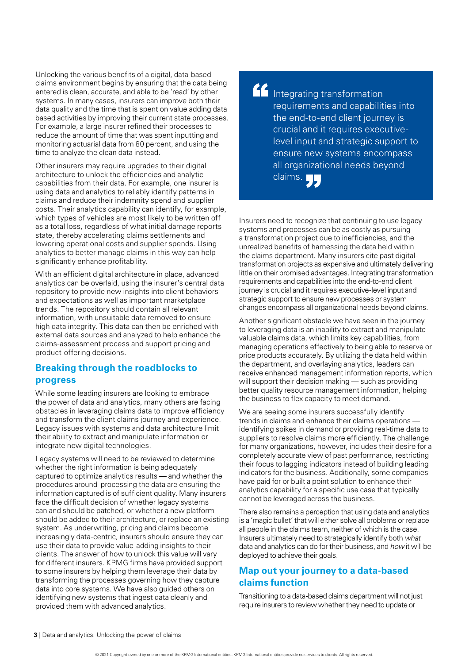Unlocking the various benefits of a digital, data-based claims environment begins by ensuring that the data being entered is clean, accurate, and able to be 'read' by other systems. In many cases, insurers can improve both their data quality and the time that is spent on value adding data based activities by improving their current state processes. For example, a large insurer refned their processes to reduce the amount of time that was spent inputting and monitoring actuarial data from 80 percent, and using the time to analyze the clean data instead.

Other insurers may require upgrades to their digital architecture to unlock the efficiencies and analytic capabilities from their data. For example, one insurer is using data and analytics to reliably identify patterns in claims and reduce their indemnity spend and supplier costs. Their analytics capability can identify, for example, which types of vehicles are most likely to be written off as a total loss, regardless of what initial damage reports state, thereby accelerating claims settlements and lowering operational costs and supplier spends. Using analytics to better manage claims in this way can help significantly enhance profitability.

With an efficient digital architecture in place, advanced analytics can be overlaid, using the insurer's central data repository to provide new insights into client behaviors and expectations as well as important marketplace trends. The repository should contain all relevant information, with unsuitable data removed to ensure high data integrity. This data can then be enriched with external data sources and analyzed to help enhance the claims-assessment process and support pricing and product-offering decisions.

#### **Breaking through the roadblocks to progress**

While some leading insurers are looking to embrace the power of data and analytics, many others are facing obstacles in leveraging claims data to improve efficiency and transform the client claims journey and experience. Legacy issues with systems and data architecture limit their ability to extract and manipulate information or integrate new digital technologies.

Legacy systems will need to be reviewed to determine whether the right information is being adequately captured to optimize analytics results — and whether the procedures around processing the data are ensuring the information captured is of sufficient quality. Many insurers face the difficult decision of whether legacy systems can and should be patched, or whether a new platform should be added to their architecture, or replace an existing system. As underwriting, pricing and claims become increasingly data-centric, insurers should ensure they can use their data to provide value-adding insights to their clients. The answer of how to unlock this value will vary for different insurers. KPMG firms have provided support to some insurers by helping them leverage their data by transforming the processes governing how they capture data into core systems. We have also guided others on identifying new systems that ingest data cleanly and provided them with advanced analytics.

**Integrating transformation** requirements and capabilities into the end-to-end client journey is crucial and it requires executivelevel input and strategic support to ensure new systems encompass all organizational needs beyond claims.

Insurers need to recognize that continuing to use legacy systems and processes can be as costly as pursuing a transformation project due to inefficiencies, and the unrealized benefts of harnessing the data held within the claims department. Many insurers cite past digitaltransformation projects as expensive and ultimately delivering little on their promised advantages. Integrating transformation requirements and capabilities into the end-to-end client journey is crucial and it requires executive-level input and strategic support to ensure new processes or system changes encompass all organizational needs beyond claims.

Another significant obstacle we have seen in the journey to leveraging data is an inability to extract and manipulate valuable claims data, which limits key capabilities, from managing operations effectively to being able to reserve or price products accurately. By utilizing the data held within the department, and overlaying analytics, leaders can receive enhanced management information reports, which will support their decision making — such as providing better quality resource management information, helping the business to flex capacity to meet demand.

We are seeing some insurers successfully identify trends in claims and enhance their claims operations identifying spikes in demand or providing real-time data to suppliers to resolve claims more efficiently. The challenge for many organizations, however, includes their desire for a completely accurate view of past performance, restricting their focus to lagging indicators instead of building leading indicators for the business. Additionally, some companies have paid for or built a point solution to enhance their analytics capability for a specific use case that typically cannot be leveraged across the business.

There also remains a perception that using data and analytics is a 'magic bullet' that will either solve all problems or replace all people in the claims team, neither of which is the case. Insurers ultimately need to strategically identify both *what*  data and analytics can do for their business, and *how* it will be deployed to achieve their goals.

#### **Map out your journey to a data-based claims function**

Transitioning to a data-based claims department will not just require insurers to review whether they need to update or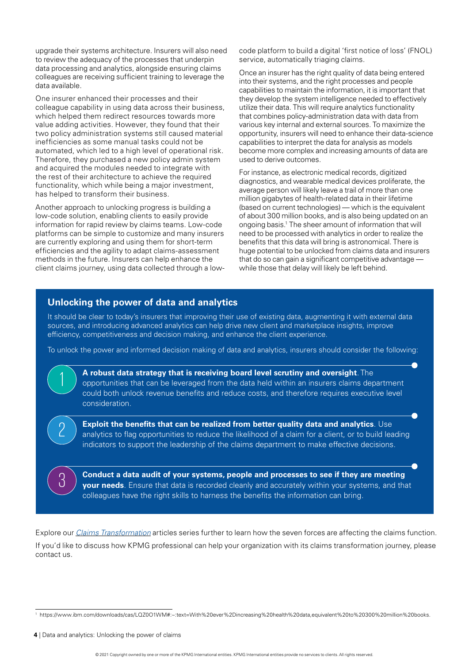upgrade their systems architecture. Insurers will also need to review the adequacy of the processes that underpin data processing and analytics, alongside ensuring claims colleagues are receiving sufficient training to leverage the data available.

One insurer enhanced their processes and their colleague capability in using data across their business, which helped them redirect resources towards more value adding activities. However, they found that their two policy administration systems still caused material inefficiencies as some manual tasks could not be automated, which led to a high level of operational risk. Therefore, they purchased a new policy admin system and acquired the modules needed to integrate with the rest of their architecture to achieve the required functionality, which while being a major investment, has helped to transform their business.

Another approach to unlocking progress is building a low-code solution, enabling clients to easily provide information for rapid review by claims teams. Low-code platforms can be simple to customize and many insurers are currently exploring and using them for short-term efficiencies and the agility to adapt claims-assessment methods in the future. Insurers can help enhance the client claims journey, using data collected through a lowcode platform to build a digital 'frst notice of loss' (FNOL) service, automatically triaging claims.

Once an insurer has the right quality of data being entered into their systems, and the right processes and people capabilities to maintain the information, it is important that they develop the system intelligence needed to effectively utilize their data. This will require analytics functionality that combines policy-administration data with data from various key internal and external sources. To maximize the opportunity, insurers will need to enhance their data-science capabilities to interpret the data for analysis as models become more complex and increasing amounts of data are used to derive outcomes.

For instance, as electronic medical records, digitized diagnostics, and wearable medical devices proliferate, the average person will likely leave a trail of more than one million gigabytes of health-related data in their lifetime (based on current technologies) — which is the equivalent of about 300 million books, and is also being updated on an ongoing basis.1 The sheer amount of information that will need to be processed with analytics in order to realize the benefits that this data will bring is astronomical. There is huge potential to be unlocked from claims data and insurers that do so can gain a significant competitive advantage while those that delay will likely be left behind.

#### **Unlocking the power of data and analytics**

1

2

3

It should be clear to today's insurers that improving their use of existing data, augmenting it with external data sources, and introducing advanced analytics can help drive new client and marketplace insights, improve efficiency, competitiveness and decision making, and enhance the client experience.

To unlock the power and informed decision making of data and analytics, insurers should consider the following:

**A robust data strategy that is receiving board level scrutiny and oversight**. The opportunities that can be leveraged from the data held within an insurers claims department could both unlock revenue benefits and reduce costs, and therefore requires executive level consideration.

**Exploit the benefits that can be realized from better quality data and analytics**. Use analytics to flag opportunities to reduce the likelihood of a claim for a client, or to build leading indicators to support the leadership of the claims department to make effective decisions.

**Conduct a data audit of your systems, people and processes to see if they are meeting your needs**. Ensure that data is recorded cleanly and accurately within your systems, and that colleagues have the right skills to harness the benefits the information can bring.

Explore our *[Claims Transformation](https://home.kpmg/xx/en/home/insights/2021/08/claims-transformation.html)* articles series further to learn how the seven forces are affecting the claims function. If you'd like to discuss how KPMG professional can help your organization with its claims transformation journey, please contact us.

<sup>1</sup> <https://www.ibm.com/downloads/cas/LQZ0O1WM#:~:text=With%20ever%2Dincreasing%20health%20data,equivalent%20to%20300%20million%20books.>

**<sup>4</sup>** | Data and analytics: Unlocking the power of claims